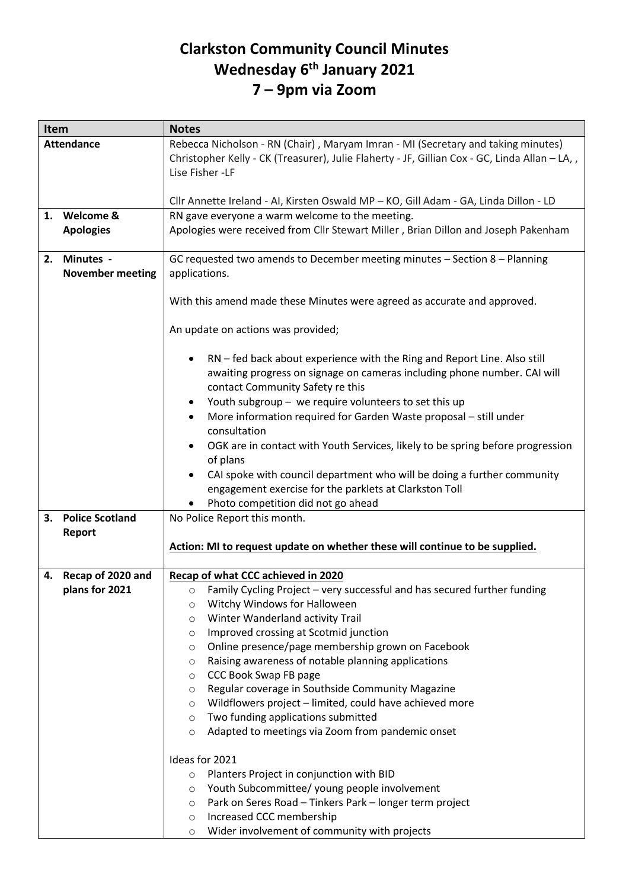## **Clarkston Community Council Minutes Wednesday 6 th January 2021 7 – 9pm via Zoom**

| Item |                                  | <b>Notes</b>                                                                                                                                                                                          |
|------|----------------------------------|-------------------------------------------------------------------------------------------------------------------------------------------------------------------------------------------------------|
|      | <b>Attendance</b>                | Rebecca Nicholson - RN (Chair), Maryam Imran - MI (Secretary and taking minutes)<br>Christopher Kelly - CK (Treasurer), Julie Flaherty - JF, Gillian Cox - GC, Linda Allan - LA, ,<br>Lise Fisher -LF |
|      |                                  | Cllr Annette Ireland - AI, Kirsten Oswald MP - KO, Gill Adam - GA, Linda Dillon - LD                                                                                                                  |
|      | 1. Welcome &                     | RN gave everyone a warm welcome to the meeting.                                                                                                                                                       |
|      | <b>Apologies</b>                 | Apologies were received from Cllr Stewart Miller, Brian Dillon and Joseph Pakenham                                                                                                                    |
|      | 2. Minutes -                     | GC requested two amends to December meeting minutes - Section 8 - Planning                                                                                                                            |
|      | <b>November meeting</b>          | applications.                                                                                                                                                                                         |
|      |                                  |                                                                                                                                                                                                       |
|      |                                  | With this amend made these Minutes were agreed as accurate and approved.                                                                                                                              |
|      |                                  | An update on actions was provided;                                                                                                                                                                    |
|      |                                  | RN - fed back about experience with the Ring and Report Line. Also still<br>awaiting progress on signage on cameras including phone number. CAI will<br>contact Community Safety re this              |
|      |                                  | Youth subgroup - we require volunteers to set this up<br>$\bullet$                                                                                                                                    |
|      |                                  | More information required for Garden Waste proposal - still under                                                                                                                                     |
|      |                                  | consultation                                                                                                                                                                                          |
|      |                                  | OGK are in contact with Youth Services, likely to be spring before progression                                                                                                                        |
|      |                                  | of plans                                                                                                                                                                                              |
|      |                                  | CAI spoke with council department who will be doing a further community<br>$\bullet$                                                                                                                  |
|      |                                  | engagement exercise for the parklets at Clarkston Toll                                                                                                                                                |
|      |                                  | Photo competition did not go ahead                                                                                                                                                                    |
| 3.   | <b>Police Scotland</b><br>Report | No Police Report this month.                                                                                                                                                                          |
|      |                                  | Action: MI to request update on whether these will continue to be supplied.                                                                                                                           |
|      |                                  |                                                                                                                                                                                                       |
| 4.   | Recap of 2020 and                | Recap of what CCC achieved in 2020                                                                                                                                                                    |
|      | plans for 2021                   | Family Cycling Project - very successful and has secured further funding<br>$\circ$                                                                                                                   |
|      |                                  | Witchy Windows for Halloween<br>O                                                                                                                                                                     |
|      |                                  | Winter Wanderland activity Trail<br>O                                                                                                                                                                 |
|      |                                  | Improved crossing at Scotmid junction<br>O                                                                                                                                                            |
|      |                                  | Online presence/page membership grown on Facebook<br>O                                                                                                                                                |
|      |                                  | Raising awareness of notable planning applications<br>O                                                                                                                                               |
|      |                                  | CCC Book Swap FB page<br>O                                                                                                                                                                            |
|      |                                  | Regular coverage in Southside Community Magazine<br>O                                                                                                                                                 |
|      |                                  | Wildflowers project - limited, could have achieved more<br>O                                                                                                                                          |
|      |                                  | Two funding applications submitted<br>O                                                                                                                                                               |
|      |                                  | Adapted to meetings via Zoom from pandemic onset<br>O                                                                                                                                                 |
|      |                                  | Ideas for 2021                                                                                                                                                                                        |
|      |                                  | Planters Project in conjunction with BID<br>$\circ$                                                                                                                                                   |
|      |                                  | Youth Subcommittee/ young people involvement<br>O                                                                                                                                                     |
|      |                                  | Park on Seres Road - Tinkers Park - longer term project<br>O                                                                                                                                          |
|      |                                  | Increased CCC membership<br>$\circ$                                                                                                                                                                   |
|      |                                  | Wider involvement of community with projects<br>$\circ$                                                                                                                                               |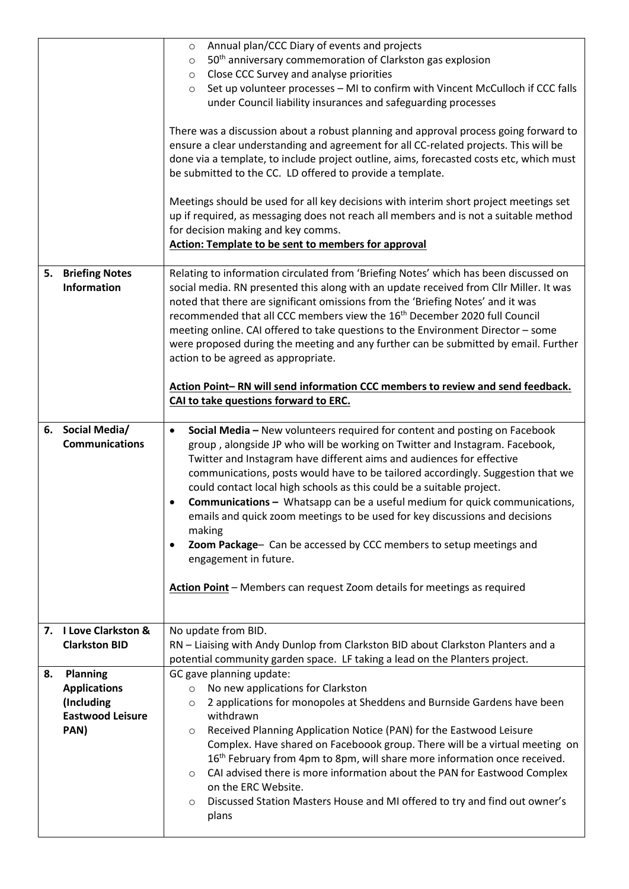|    |                                           | Annual plan/CCC Diary of events and projects<br>$\circ$<br>50 <sup>th</sup> anniversary commemoration of Clarkston gas explosion                                                                                                                                                                                                                                                                                                                                                                                                                                                                                                                                                                                                                                  |
|----|-------------------------------------------|-------------------------------------------------------------------------------------------------------------------------------------------------------------------------------------------------------------------------------------------------------------------------------------------------------------------------------------------------------------------------------------------------------------------------------------------------------------------------------------------------------------------------------------------------------------------------------------------------------------------------------------------------------------------------------------------------------------------------------------------------------------------|
|    |                                           | $\circ$<br>Close CCC Survey and analyse priorities<br>$\circ$                                                                                                                                                                                                                                                                                                                                                                                                                                                                                                                                                                                                                                                                                                     |
|    |                                           | Set up volunteer processes - MI to confirm with Vincent McCulloch if CCC falls<br>$\circ$                                                                                                                                                                                                                                                                                                                                                                                                                                                                                                                                                                                                                                                                         |
|    |                                           | under Council liability insurances and safeguarding processes                                                                                                                                                                                                                                                                                                                                                                                                                                                                                                                                                                                                                                                                                                     |
|    |                                           | There was a discussion about a robust planning and approval process going forward to<br>ensure a clear understanding and agreement for all CC-related projects. This will be<br>done via a template, to include project outline, aims, forecasted costs etc, which must<br>be submitted to the CC. LD offered to provide a template.                                                                                                                                                                                                                                                                                                                                                                                                                              |
|    |                                           | Meetings should be used for all key decisions with interim short project meetings set<br>up if required, as messaging does not reach all members and is not a suitable method<br>for decision making and key comms.                                                                                                                                                                                                                                                                                                                                                                                                                                                                                                                                               |
|    |                                           | <b>Action: Template to be sent to members for approval</b>                                                                                                                                                                                                                                                                                                                                                                                                                                                                                                                                                                                                                                                                                                        |
|    | 5. Briefing Notes<br><b>Information</b>   | Relating to information circulated from 'Briefing Notes' which has been discussed on<br>social media. RN presented this along with an update received from Cllr Miller. It was<br>noted that there are significant omissions from the 'Briefing Notes' and it was<br>recommended that all CCC members view the 16 <sup>th</sup> December 2020 full Council<br>meeting online. CAI offered to take questions to the Environment Director - some<br>were proposed during the meeting and any further can be submitted by email. Further<br>action to be agreed as appropriate.                                                                                                                                                                                      |
|    |                                           | Action Point-RN will send information CCC members to review and send feedback.<br>CAI to take questions forward to ERC.                                                                                                                                                                                                                                                                                                                                                                                                                                                                                                                                                                                                                                           |
|    | 6. Social Media/<br><b>Communications</b> | Social Media - New volunteers required for content and posting on Facebook<br>٠<br>group, alongside JP who will be working on Twitter and Instagram. Facebook,<br>Twitter and Instagram have different aims and audiences for effective<br>communications, posts would have to be tailored accordingly. Suggestion that we<br>could contact local high schools as this could be a suitable project.<br><b>Communications - Whatsapp can be a useful medium for quick communications,</b><br>emails and quick zoom meetings to be used for key discussions and decisions<br>making<br>Zoom Package- Can be accessed by CCC members to setup meetings and<br>٠<br>engagement in future.<br>Action Point - Members can request Zoom details for meetings as required |
|    | 7. I Love Clarkston &                     | No update from BID.                                                                                                                                                                                                                                                                                                                                                                                                                                                                                                                                                                                                                                                                                                                                               |
|    | <b>Clarkston BID</b>                      | RN - Liaising with Andy Dunlop from Clarkston BID about Clarkston Planters and a<br>potential community garden space. LF taking a lead on the Planters project.                                                                                                                                                                                                                                                                                                                                                                                                                                                                                                                                                                                                   |
| 8. | Planning                                  | GC gave planning update:                                                                                                                                                                                                                                                                                                                                                                                                                                                                                                                                                                                                                                                                                                                                          |
|    | <b>Applications</b>                       | No new applications for Clarkston<br>$\circ$                                                                                                                                                                                                                                                                                                                                                                                                                                                                                                                                                                                                                                                                                                                      |
|    | (Including<br><b>Eastwood Leisure</b>     | 2 applications for monopoles at Sheddens and Burnside Gardens have been<br>$\circ$<br>withdrawn                                                                                                                                                                                                                                                                                                                                                                                                                                                                                                                                                                                                                                                                   |
|    | PAN)                                      | Received Planning Application Notice (PAN) for the Eastwood Leisure<br>$\circ$                                                                                                                                                                                                                                                                                                                                                                                                                                                                                                                                                                                                                                                                                    |
|    |                                           | Complex. Have shared on Faceboook group. There will be a virtual meeting on<br>16 <sup>th</sup> February from 4pm to 8pm, will share more information once received.<br>CAI advised there is more information about the PAN for Eastwood Complex<br>$\circ$<br>on the ERC Website.<br>Discussed Station Masters House and MI offered to try and find out owner's<br>$\circ$                                                                                                                                                                                                                                                                                                                                                                                       |
|    |                                           | plans                                                                                                                                                                                                                                                                                                                                                                                                                                                                                                                                                                                                                                                                                                                                                             |